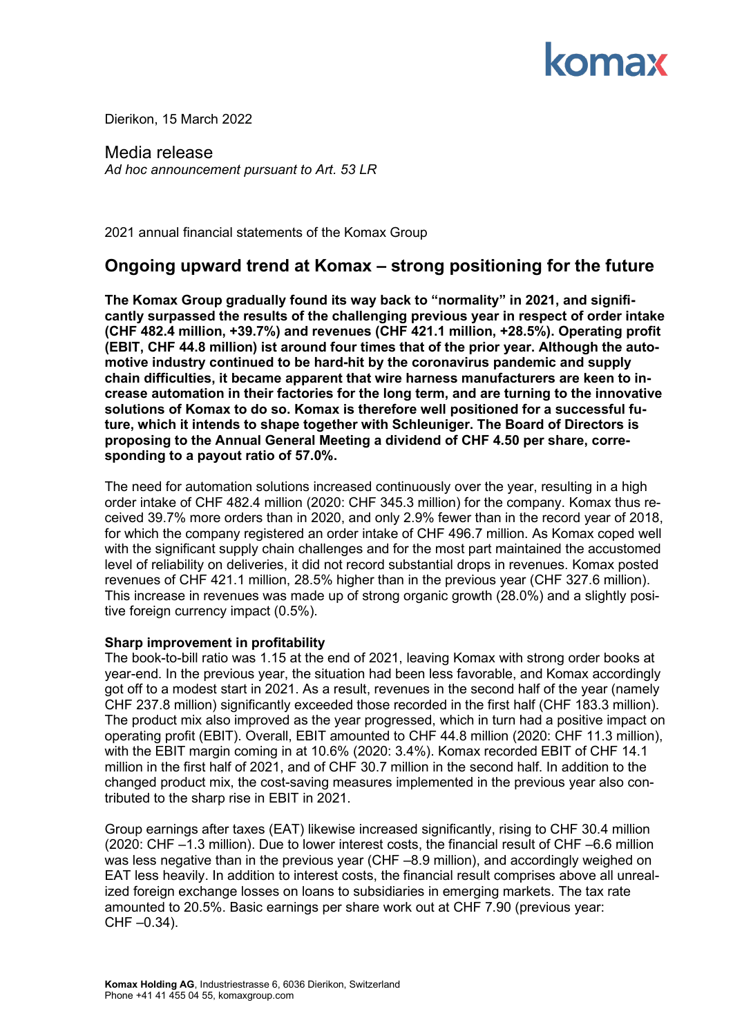

Dierikon, 15 March 2022

Media release *Ad hoc announcement pursuant to Art. 53 LR*

2021 annual financial statements of the Komax Group

## **Ongoing upward trend at Komax – strong positioning for the future**

**The Komax Group gradually found its way back to "normality" in 2021, and significantly surpassed the results of the challenging previous year in respect of order intake (CHF 482.4 million, +39.7%) and revenues (CHF 421.1 million, +28.5%). Operating profit (EBIT, CHF 44.8 million) ist around four times that of the prior year. Although the automotive industry continued to be hard-hit by the coronavirus pandemic and supply chain difficulties, it became apparent that wire harness manufacturers are keen to increase automation in their factories for the long term, and are turning to the innovative solutions of Komax to do so. Komax is therefore well positioned for a successful future, which it intends to shape together with Schleuniger. The Board of Directors is proposing to the Annual General Meeting a dividend of CHF 4.50 per share, corresponding to a payout ratio of 57.0%.**

The need for automation solutions increased continuously over the year, resulting in a high order intake of CHF 482.4 million (2020: CHF 345.3 million) for the company. Komax thus received 39.7% more orders than in 2020, and only 2.9% fewer than in the record year of 2018, for which the company registered an order intake of CHF 496.7 million. As Komax coped well with the significant supply chain challenges and for the most part maintained the accustomed level of reliability on deliveries, it did not record substantial drops in revenues. Komax posted revenues of CHF 421.1 million, 28.5% higher than in the previous year (CHF 327.6 million). This increase in revenues was made up of strong organic growth (28.0%) and a slightly positive foreign currency impact (0.5%).

#### **Sharp improvement in profitability**

The book-to-bill ratio was 1.15 at the end of 2021, leaving Komax with strong order books at year-end. In the previous year, the situation had been less favorable, and Komax accordingly got off to a modest start in 2021. As a result, revenues in the second half of the year (namely CHF 237.8 million) significantly exceeded those recorded in the first half (CHF 183.3 million). The product mix also improved as the year progressed, which in turn had a positive impact on operating profit (EBIT). Overall, EBIT amounted to CHF 44.8 million (2020: CHF 11.3 million), with the EBIT margin coming in at 10.6% (2020: 3.4%). Komax recorded EBIT of CHF 14.1 million in the first half of 2021, and of CHF 30.7 million in the second half. In addition to the changed product mix, the cost-saving measures implemented in the previous year also contributed to the sharp rise in EBIT in 2021.

Group earnings after taxes (EAT) likewise increased significantly, rising to CHF 30.4 million (2020: CHF –1.3 million). Due to lower interest costs, the financial result of CHF –6.6 million was less negative than in the previous year (CHF –8.9 million), and accordingly weighed on EAT less heavily. In addition to interest costs, the financial result comprises above all unrealized foreign exchange losses on loans to subsidiaries in emerging markets. The tax rate amounted to 20.5%. Basic earnings per share work out at CHF 7.90 (previous year:  $CHF -0.34$ ).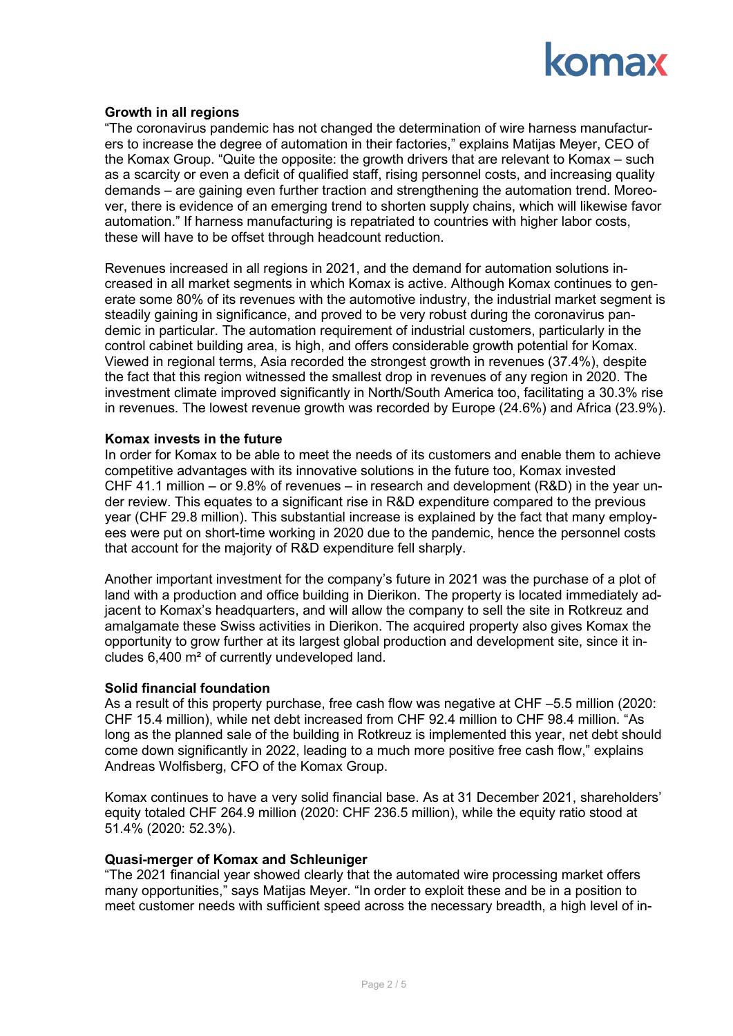

### **Growth in all regions**

"The coronavirus pandemic has not changed the determination of wire harness manufacturers to increase the degree of automation in their factories," explains Matijas Meyer, CEO of the Komax Group. "Quite the opposite: the growth drivers that are relevant to Komax – such as a scarcity or even a deficit of qualified staff, rising personnel costs, and increasing quality demands – are gaining even further traction and strengthening the automation trend. Moreover, there is evidence of an emerging trend to shorten supply chains, which will likewise favor automation." If harness manufacturing is repatriated to countries with higher labor costs, these will have to be offset through headcount reduction.

Revenues increased in all regions in 2021, and the demand for automation solutions increased in all market segments in which Komax is active. Although Komax continues to generate some 80% of its revenues with the automotive industry, the industrial market segment is steadily gaining in significance, and proved to be very robust during the coronavirus pandemic in particular. The automation requirement of industrial customers, particularly in the control cabinet building area, is high, and offers considerable growth potential for Komax. Viewed in regional terms, Asia recorded the strongest growth in revenues (37.4%), despite the fact that this region witnessed the smallest drop in revenues of any region in 2020. The investment climate improved significantly in North/South America too, facilitating a 30.3% rise in revenues. The lowest revenue growth was recorded by Europe (24.6%) and Africa (23.9%).

#### **Komax invests in the future**

In order for Komax to be able to meet the needs of its customers and enable them to achieve competitive advantages with its innovative solutions in the future too, Komax invested CHF 41.1 million – or 9.8% of revenues – in research and development (R&D) in the year under review. This equates to a significant rise in R&D expenditure compared to the previous year (CHF 29.8 million). This substantial increase is explained by the fact that many employees were put on short-time working in 2020 due to the pandemic, hence the personnel costs that account for the majority of R&D expenditure fell sharply.

Another important investment for the company's future in 2021 was the purchase of a plot of land with a production and office building in Dierikon. The property is located immediately adjacent to Komax's headquarters, and will allow the company to sell the site in Rotkreuz and amalgamate these Swiss activities in Dierikon. The acquired property also gives Komax the opportunity to grow further at its largest global production and development site, since it includes 6,400 m² of currently undeveloped land.

#### **Solid financial foundation**

As a result of this property purchase, free cash flow was negative at CHF –5.5 million (2020: CHF 15.4 million), while net debt increased from CHF 92.4 million to CHF 98.4 million. "As long as the planned sale of the building in Rotkreuz is implemented this year, net debt should come down significantly in 2022, leading to a much more positive free cash flow," explains Andreas Wolfisberg, CFO of the Komax Group.

Komax continues to have a very solid financial base. As at 31 December 2021, shareholders' equity totaled CHF 264.9 million (2020: CHF 236.5 million), while the equity ratio stood at 51.4% (2020: 52.3%).

#### **Quasi-merger of Komax and Schleuniger**

"The 2021 financial year showed clearly that the automated wire processing market offers many opportunities," says Matijas Meyer. "In order to exploit these and be in a position to meet customer needs with sufficient speed across the necessary breadth, a high level of in-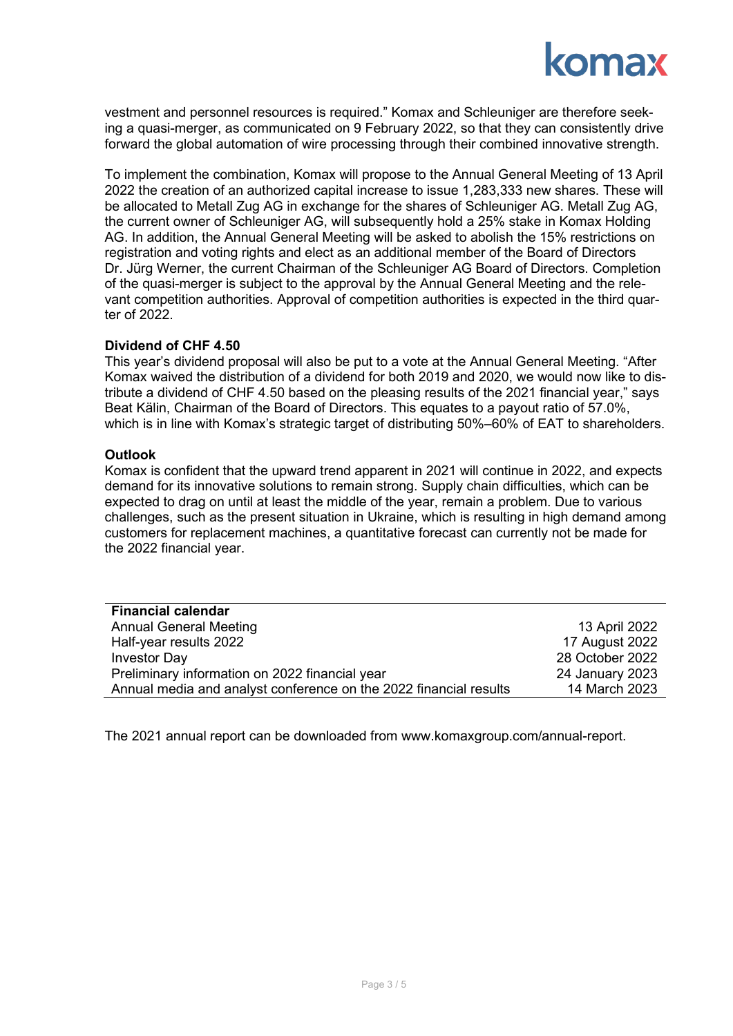## **omax**

vestment and personnel resources is required." Komax and Schleuniger are therefore seeking a quasi-merger, as communicated on 9 February 2022, so that they can consistently drive forward the global automation of wire processing through their combined innovative strength.

To implement the combination, Komax will propose to the Annual General Meeting of 13 April 2022 the creation of an authorized capital increase to issue 1,283,333 new shares. These will be allocated to Metall Zug AG in exchange for the shares of Schleuniger AG. Metall Zug AG, the current owner of Schleuniger AG, will subsequently hold a 25% stake in Komax Holding AG. In addition, the Annual General Meeting will be asked to abolish the 15% restrictions on registration and voting rights and elect as an additional member of the Board of Directors Dr. Jürg Werner, the current Chairman of the Schleuniger AG Board of Directors. Completion of the quasi-merger is subject to the approval by the Annual General Meeting and the relevant competition authorities. Approval of competition authorities is expected in the third quarter of 2022.

### **Dividend of CHF 4.50**

This year's dividend proposal will also be put to a vote at the Annual General Meeting. "After Komax waived the distribution of a dividend for both 2019 and 2020, we would now like to distribute a dividend of CHF 4.50 based on the pleasing results of the 2021 financial year," says Beat Kälin, Chairman of the Board of Directors. This equates to a payout ratio of 57.0%, which is in line with Komax's strategic target of distributing 50%–60% of EAT to shareholders.

### **Outlook**

Komax is confident that the upward trend apparent in 2021 will continue in 2022, and expects demand for its innovative solutions to remain strong. Supply chain difficulties, which can be expected to drag on until at least the middle of the year, remain a problem. Due to various challenges, such as the present situation in Ukraine, which is resulting in high demand among customers for replacement machines, a quantitative forecast can currently not be made for the 2022 financial year.

| <b>Financial calendar</b>                                         |                 |
|-------------------------------------------------------------------|-----------------|
| <b>Annual General Meeting</b>                                     | 13 April 2022   |
| Half-year results 2022                                            | 17 August 2022  |
| <b>Investor Day</b>                                               | 28 October 2022 |
| Preliminary information on 2022 financial year                    | 24 January 2023 |
| Annual media and analyst conference on the 2022 financial results | 14 March 2023   |

The 2021 annual report can be downloaded from [www.komaxgroup.com/annual-report.](http://www.komaxgroup.com/annual-report)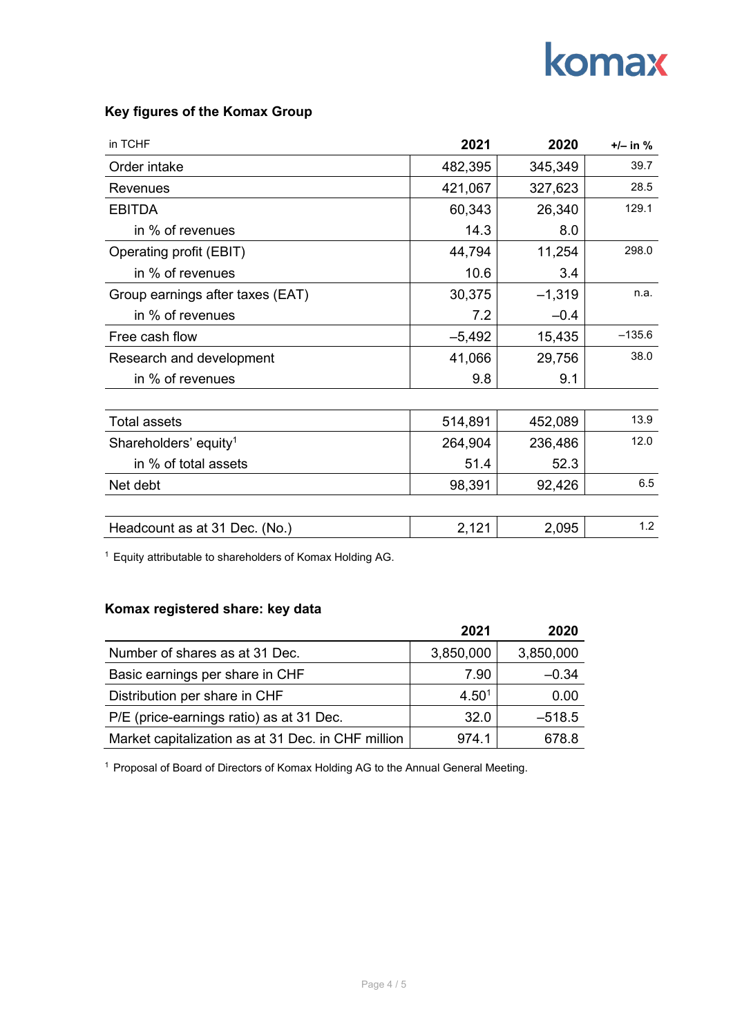# komax

| in TCHF                           | 2021     | 2020     | $+/-$ in $%$ |
|-----------------------------------|----------|----------|--------------|
| Order intake                      | 482,395  | 345,349  | 39.7         |
| Revenues                          | 421,067  | 327,623  | 28.5         |
| <b>EBITDA</b>                     | 60,343   | 26,340   | 129.1        |
| in % of revenues                  | 14.3     | 8.0      |              |
| Operating profit (EBIT)           | 44,794   | 11,254   | 298.0        |
| in % of revenues                  | 10.6     | 3.4      |              |
| Group earnings after taxes (EAT)  | 30,375   | $-1,319$ | n.a.         |
| in % of revenues                  | 7.2      | $-0.4$   |              |
| Free cash flow                    | $-5,492$ | 15,435   | $-135.6$     |
| Research and development          | 41,066   | 29,756   | 38.0         |
| in % of revenues                  | 9.8      | 9.1      |              |
|                                   |          |          |              |
| <b>Total assets</b>               | 514,891  | 452,089  | 13.9         |
| Shareholders' equity <sup>1</sup> | 264,904  | 236,486  | 12.0         |
| in % of total assets              | 51.4     | 52.3     |              |
| Net debt                          | 98,391   | 92,426   | 6.5          |
|                                   |          |          |              |
| Headcount as at 31 Dec. (No.)     | 2,121    | 2,095    | 1.2          |

### **Key figures of the Komax Group**

<sup>1</sup> Equity attributable to shareholders of Komax Holding AG.

### **Komax registered share: key data**

|                                                    | 2021              | 2020      |
|----------------------------------------------------|-------------------|-----------|
| Number of shares as at 31 Dec.                     | 3,850,000         | 3,850,000 |
| Basic earnings per share in CHF                    | 7.90              | $-0.34$   |
| Distribution per share in CHF                      | 4.50 <sup>1</sup> | 0.00      |
| P/E (price-earnings ratio) as at 31 Dec.           | 32.0              | $-518.5$  |
| Market capitalization as at 31 Dec. in CHF million | 974.1             | 678.8     |

<sup>1</sup> Proposal of Board of Directors of Komax Holding AG to the Annual General Meeting.